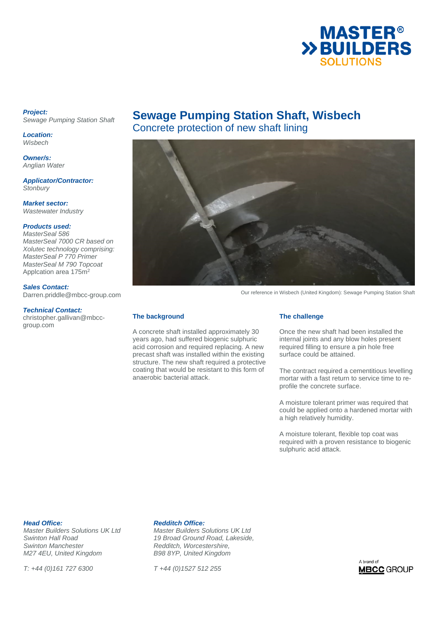

### *Project: Sewage Pumping Station Shaft*

*Location: Wisbech* 

*Owner/s: Anglian Water*

*Applicator/Contractor: Stonbury* 

*Market sector: Wastewater Industry* 

### *Products used:*

*MasterSeal 586 MasterSeal 7000 CR based on Xolutec technology comprising: MasterSeal P 770 Primer MasterSeal M 790 Topcoat*  Applcation area 175m<sup>2</sup>

*Sales Contact:* 

Darren.priddle@mbcc-group.com

### *Technical Contact:*

christopher.gallivan@mbccgroup.com

# **Sewage Pumping Station Shaft, Wisbech**

Concrete protection of new shaft lining



Our reference in Wisbech (United Kingdom): Sewage Pumping Station Shaft

### **The background**

A concrete shaft installed approximately 30 years ago, had suffered biogenic sulphuric acid corrosion and required replacing. A new precast shaft was installed within the existing structure. The new shaft required a protective coating that would be resistant to this form of anaerobic bacterial attack.

### **The challenge**

Once the new shaft had been installed the internal joints and any blow holes present required filling to ensure a pin hole free surface could be attained.

The contract required a cementitious levelling mortar with a fast return to service time to reprofile the concrete surface.

A moisture tolerant primer was required that could be applied onto a hardened mortar with a high relatively humidity.

A moisture tolerant, flexible top coat was required with a proven resistance to biogenic sulphuric acid attack.

**Head Office:** *Head Office: Head Office: Master Builders Solutions UK Ltd* **<b>***Master Builders S* **Swinton Manchester <b>Reddition** Redditch, Worcestershire, <br>
M27 4EU, United Kingdom **B98 8YP, United Kingdom** *M27 4EU, United Kingdom* 

*T: +44 (0)161 727 6300 T +44 (0)1527 512 255* 

*Master Builders Solutions UK Ltd Master Builders Solutions UK Ltd Swinton Hall Road 19 Broad Ground Road, Lakeside,*